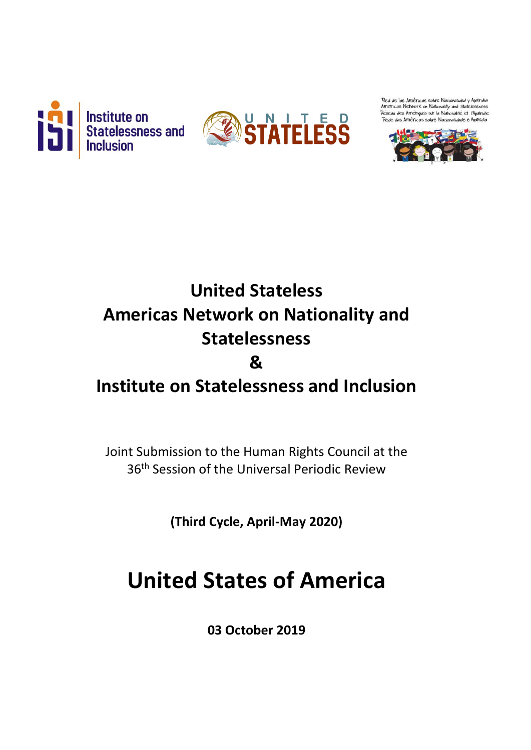



Red de las Américas sobre Nacionalidad y Apatridia Americas Network on Nationality and Statelessness<br>Réseau des Amériques sur la Nationalité et l'Apatridie das Américas sobre Nacionalidade e A



# **United Stateless Americas Network on Nationality and Statelessness &**

## **Institute on Statelessness and Inclusion**

Joint Submission to the Human Rights Council at the 36th Session of the Universal Periodic Review

**(Third Cycle, April-May 2020)**

# **United States of America**

**03 October 2019**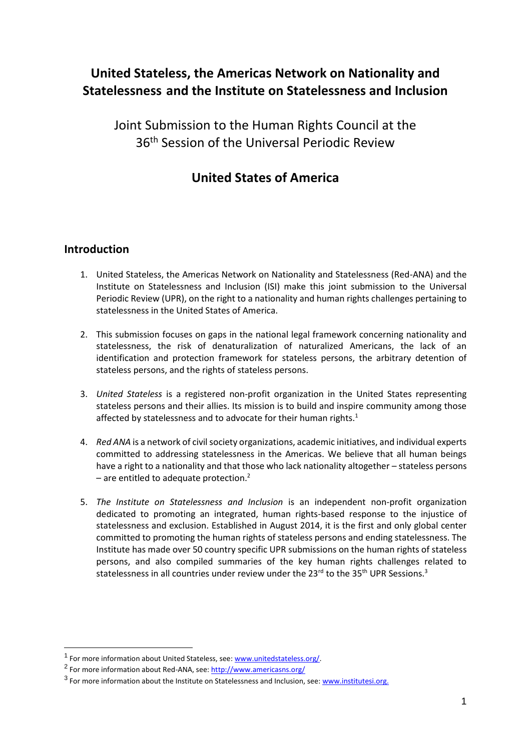### **United Stateless, the Americas Network on Nationality and Statelessness and the Institute on Statelessness and Inclusion**

Joint Submission to the Human Rights Council at the 36<sup>th</sup> Session of the Universal Periodic Review

### **United States of America**

#### **Introduction**

- 1. United Stateless, the Americas Network on Nationality and Statelessness (Red-ANA) and the Institute on Statelessness and Inclusion (ISI) make this joint submission to the Universal Periodic Review (UPR), on the right to a nationality and human rights challenges pertaining to statelessness in the United States of America.
- 2. This submission focuses on gaps in the national legal framework concerning nationality and statelessness, the risk of denaturalization of naturalized Americans, the lack of an identification and protection framework for stateless persons, the arbitrary detention of stateless persons, and the rights of stateless persons.
- 3. *United Stateless* is a registered non-profit organization in the United States representing stateless persons and their allies. Its mission is to build and inspire community among those affected by statelessness and to advocate for their human rights.<sup>1</sup>
- 4. *Red ANA* is a network of civil society organizations, academic initiatives, and individual experts committed to addressing statelessness in the Americas. We believe that all human beings have a right to a nationality and that those who lack nationality altogether – stateless persons – are entitled to adequate protection. $2$
- 5. *The Institute on Statelessness and Inclusion* is an independent non-profit organization dedicated to promoting an integrated, human rights-based response to the injustice of statelessness and exclusion. Established in August 2014, it is the first and only global center committed to promoting the human rights of stateless persons and ending statelessness. The Institute has made over 50 country specific UPR submissions on the human rights of stateless persons, and also compiled summaries of the key human rights challenges related to statelessness in all countries under review under the 23<sup>rd</sup> to the 35<sup>th</sup> UPR Sessions.<sup>3</sup>

<sup>&</sup>lt;sup>1</sup> For more information about United Stateless, see[: www.unitedstateless.org/.](http://www.unitedstateless.org/)

<sup>&</sup>lt;sup>2</sup> For more information about Red-ANA, see:<http://www.americasns.org/>

<sup>&</sup>lt;sup>3</sup> For more information about the Institute on Statelessness and Inclusion, see: [www.institutesi.org.](http://www.institutesi.org/)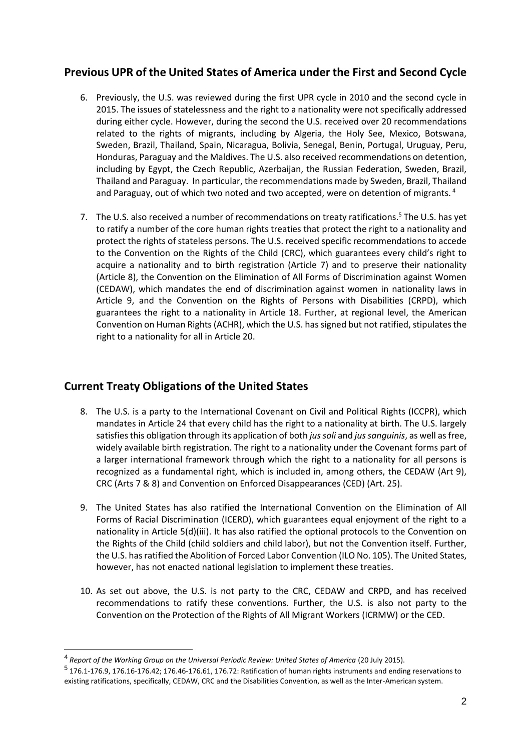#### **Previous UPR of the United States of America under the First and Second Cycle**

- 6. Previously, the U.S. was reviewed during the first UPR cycle in 2010 and the second cycle in 2015. The issues of statelessness and the right to a nationality were not specifically addressed during either cycle. However, during the second the U.S. received over 20 recommendations related to the rights of migrants, including by Algeria, the Holy See, Mexico, Botswana, Sweden, Brazil, Thailand, Spain, Nicaragua, Bolivia, Senegal, Benin, Portugal, Uruguay, Peru, Honduras, Paraguay and the Maldives. The U.S. also received recommendations on detention, including by Egypt, the Czech Republic, Azerbaijan, the Russian Federation, Sweden, Brazil, Thailand and Paraguay. In particular, the recommendations made by Sweden, Brazil, Thailand and Paraguay, out of which two noted and two accepted, were on detention of migrants.<sup>4</sup>
- 7. The U.S. also received a number of recommendations on treaty ratifications.<sup>5</sup> The U.S. has yet to ratify a number of the core human rights treaties that protect the right to a nationality and protect the rights of stateless persons. The U.S. received specific recommendations to accede to the Convention on the Rights of the Child (CRC), which guarantees every child's right to acquire a nationality and to birth registration (Article 7) and to preserve their nationality (Article 8), the Convention on the Elimination of All Forms of Discrimination against Women (CEDAW), which mandates the end of discrimination against women in nationality laws in Article 9, and the Convention on the Rights of Persons with Disabilities (CRPD), which guarantees the right to a nationality in Article 18. Further, at regional level, the American Convention on Human Rights (ACHR), which the U.S. has signed but not ratified, stipulates the right to a nationality for all in Article 20.

#### **Current Treaty Obligations of the United States**

- 8. The U.S. is a party to the International Covenant on Civil and Political Rights (ICCPR), which mandates in Article 24 that every child has the right to a nationality at birth. The U.S. largely satisfies this obligation through its application of both *jus soli* and *jus sanguinis*, as well as free, widely available birth registration. The right to a nationality under the Covenant forms part of a larger international framework through which the right to a nationality for all persons is recognized as a fundamental right, which is included in, among others, the CEDAW (Art 9), CRC (Arts 7 & 8) and Convention on Enforced Disappearances (CED) (Art. 25).
- 9. The United States has also ratified the International Convention on the Elimination of All Forms of Racial Discrimination (ICERD), which guarantees equal enjoyment of the right to a nationality in Article 5(d)(iii). It has also ratified the optional protocols to the Convention on the Rights of the Child (child soldiers and child labor), but not the Convention itself. Further, the U.S. has ratified the Abolition of Forced Labor Convention (ILO No. 105). The United States, however, has not enacted national legislation to implement these treaties.
- 10. As set out above, the U.S. is not party to the CRC, CEDAW and CRPD, and has received recommendations to ratify these conventions. Further, the U.S. is also not party to the Convention on the Protection of the Rights of All Migrant Workers (ICRMW) or the CED.

<sup>4</sup> *Report of the Working Group on the Universal Periodic Review: United States of America* (20 July 2015).

 $<sup>5</sup>$  176.1-176.9, 176.16-176.42; 176.46-176.61, 176.72: Ratification of human rights instruments and ending reservations to</sup> existing ratifications, specifically, CEDAW, CRC and the Disabilities Convention, as well as the Inter-American system.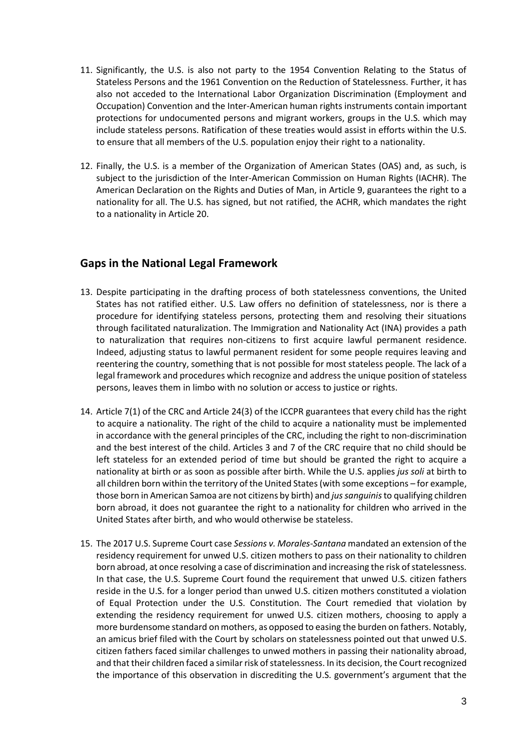- 11. Significantly, the U.S. is also not party to the 1954 Convention Relating to the Status of Stateless Persons and the 1961 Convention on the Reduction of Statelessness. Further, it has also not acceded to the International Labor Organization Discrimination (Employment and Occupation) Convention and the Inter-American human rights instruments contain important protections for undocumented persons and migrant workers, groups in the U.S. which may include stateless persons. Ratification of these treaties would assist in efforts within the U.S. to ensure that all members of the U.S. population enjoy their right to a nationality.
- 12. Finally, the U.S. is a member of the Organization of American States (OAS) and, as such, is subject to the jurisdiction of the Inter-American Commission on Human Rights (IACHR). The American Declaration on the Rights and Duties of Man, in Article 9, guarantees the right to a nationality for all. The U.S. has signed, but not ratified, the ACHR, which mandates the right to a nationality in Article 20.

#### **Gaps in the National Legal Framework**

- 13. Despite participating in the drafting process of both statelessness conventions, the United States has not ratified either. U.S. Law offers no definition of statelessness, nor is there a procedure for identifying stateless persons, protecting them and resolving their situations through facilitated naturalization. The Immigration and Nationality Act (INA) provides a path to naturalization that requires non-citizens to first acquire lawful permanent residence. Indeed, adjusting status to lawful permanent resident for some people requires leaving and reentering the country, something that is not possible for most stateless people. The lack of a legal framework and procedures which recognize and address the unique position of stateless persons, leaves them in limbo with no solution or access to justice or rights.
- 14. Article 7(1) of the CRC and Article 24(3) of the ICCPR guarantees that every child has the right to acquire a nationality. The right of the child to acquire a nationality must be implemented in accordance with the general principles of the CRC, including the right to non-discrimination and the best interest of the child. Articles 3 and 7 of the CRC require that no child should be left stateless for an extended period of time but should be granted the right to acquire a nationality at birth or as soon as possible after birth. While the U.S. applies *jus soli* at birth to all children born within the territory of the United States (with some exceptions – for example, those born in American Samoa are not citizens by birth) and *jus sanguinis*to qualifying children born abroad, it does not guarantee the right to a nationality for children who arrived in the United States after birth, and who would otherwise be stateless.
- 15. The 2017 U.S. Supreme Court case *Sessions v. Morales-Santana* mandated an extension of the residency requirement for unwed U.S. citizen mothers to pass on their nationality to children born abroad, at once resolving a case of discrimination and increasing the risk of statelessness. In that case, the U.S. Supreme Court found the requirement that unwed U.S. citizen fathers reside in the U.S. for a longer period than unwed U.S. citizen mothers constituted a violation of Equal Protection under the U.S. Constitution. The Court remedied that violation by extending the residency requirement for unwed U.S. citizen mothers, choosing to apply a more burdensome standard on mothers, as opposed to easing the burden on fathers. Notably, an amicus brief filed with the Court by scholars on statelessness pointed out that unwed U.S. citizen fathers faced similar challenges to unwed mothers in passing their nationality abroad, and that their children faced a similar risk of statelessness. In its decision, the Court recognized the importance of this observation in discrediting the U.S. government's argument that the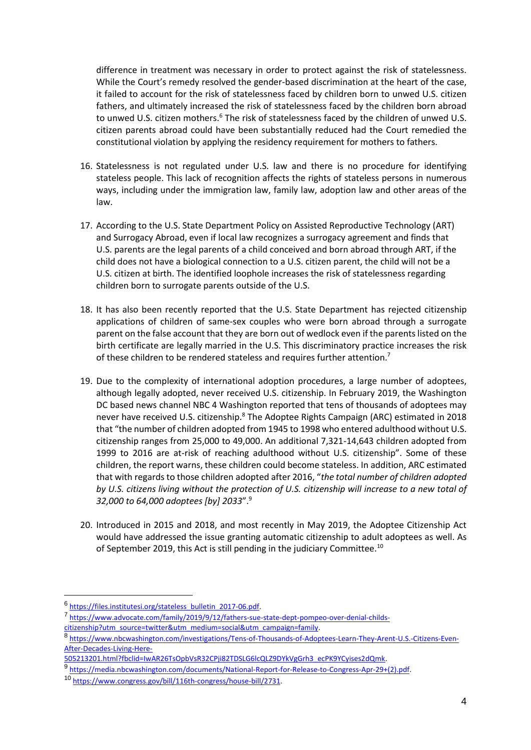difference in treatment was necessary in order to protect against the risk of statelessness. While the Court's remedy resolved the gender-based discrimination at the heart of the case, it failed to account for the risk of statelessness faced by children born to unwed U.S. citizen fathers, and ultimately increased the risk of statelessness faced by the children born abroad to unwed U.S. citizen mothers.<sup>6</sup> The risk of statelessness faced by the children of unwed U.S. citizen parents abroad could have been substantially reduced had the Court remedied the constitutional violation by applying the residency requirement for mothers to fathers.

- 16. Statelessness is not regulated under U.S. law and there is no procedure for identifying stateless people. This lack of recognition affects the rights of stateless persons in numerous ways, including under the immigration law, family law, adoption law and other areas of the law.
- 17. According to the U.S. State Department Policy on Assisted Reproductive Technology (ART) and Surrogacy Abroad, even if local law recognizes a surrogacy agreement and finds that U.S. parents are the legal parents of a child conceived and born abroad through ART, if the child does not have a biological connection to a U.S. citizen parent, the child will not be a U.S. citizen at birth. The identified loophole increases the risk of statelessness regarding children born to surrogate parents outside of the U.S.
- 18. It has also been recently reported that the U.S. State Department has rejected citizenship applications of children of same-sex couples who were born abroad through a surrogate parent on the false account that they are born out of wedlock even if the parents listed on the birth certificate are legally married in the U.S. This discriminatory practice increases the risk of these children to be rendered stateless and requires further attention.<sup>7</sup>
- 19. Due to the complexity of international adoption procedures, a large number of adoptees, although legally adopted, never received U.S. citizenship. In February 2019, the Washington DC based news channel NBC 4 Washington reported that tens of thousands of adoptees may never have received U.S. citizenship.<sup>8</sup> The Adoptee Rights Campaign (ARC) estimated in 2018 that "the number of children adopted from 1945 to 1998 who entered adulthood without U.S. citizenship ranges from 25,000 to 49,000. An additional 7,321-14,643 children adopted from 1999 to 2016 are at-risk of reaching adulthood without U.S. citizenship". Some of these children, the report warns, these children could become stateless. In addition, ARC estimated that with regards to those children adopted after 2016, "*the total number of children adopted by U.S. citizens living without the protection of U.S. citizenship will increase to a new total of 32,000 to 64,000 adoptees [by] 2033*".<sup>9</sup>
- 20. Introduced in 2015 and 2018, and most recently in May 2019, the Adoptee Citizenship Act would have addressed the issue granting automatic citizenship to adult adoptees as well. As of September 2019, this Act is still pending in the judiciary Committee.<sup>10</sup>

<sup>&</sup>lt;sup>6</sup> [https://files.institutesi.org/stateless\\_bulletin\\_2017-06.pdf.](https://files.institutesi.org/stateless_bulletin_2017-06.pdf)

<sup>7</sup> [https://www.advocate.com/family/2019/9/12/fathers-sue-state-dept-pompeo-over-denial-childs-](https://www.advocate.com/family/2019/9/12/fathers-sue-state-dept-pompeo-over-denial-childs-citizenship?utm_source=twitter&utm_medium=social&utm_campaign=family)

[citizenship?utm\\_source=twitter&utm\\_medium=social&utm\\_campaign=family.](https://www.advocate.com/family/2019/9/12/fathers-sue-state-dept-pompeo-over-denial-childs-citizenship?utm_source=twitter&utm_medium=social&utm_campaign=family)

<sup>8</sup> [https://www.nbcwashington.com/investigations/Tens-of-Thousands-of-Adoptees-Learn-They-Arent-U.S.-Citizens-Even-](https://www.nbcwashington.com/investigations/Tens-of-Thousands-of-Adoptees-Learn-They-Arent-US-Citizens-Even-After-Decades-Living-Here-505213201.html?fbclid=IwAR26TsOpbVsR32CPji82TDSLG6lcQLZ9DYkVgGrh3_ecPK9YCyises2dQmk)[After-Decades-Living-Here-](https://www.nbcwashington.com/investigations/Tens-of-Thousands-of-Adoptees-Learn-They-Arent-US-Citizens-Even-After-Decades-Living-Here-505213201.html?fbclid=IwAR26TsOpbVsR32CPji82TDSLG6lcQLZ9DYkVgGrh3_ecPK9YCyises2dQmk)

[<sup>505213201.</sup>html?fbclid=IwAR26TsOpbVsR32CPji82TDSLG6lcQLZ9DYkVgGrh3\\_ecPK9YCyises2dQmk.](https://www.nbcwashington.com/investigations/Tens-of-Thousands-of-Adoptees-Learn-They-Arent-US-Citizens-Even-After-Decades-Living-Here-505213201.html?fbclid=IwAR26TsOpbVsR32CPji82TDSLG6lcQLZ9DYkVgGrh3_ecPK9YCyises2dQmk)

<sup>9</sup> https://media.nbcwashington.com/documents/National-Report-for-Release-to-Congress-Apr-29+(2).pdf.

<sup>10</sup> [https://www.congress.gov/bill/116th-congress/house-bill/2731.](https://www.congress.gov/bill/116th-congress/house-bill/2731)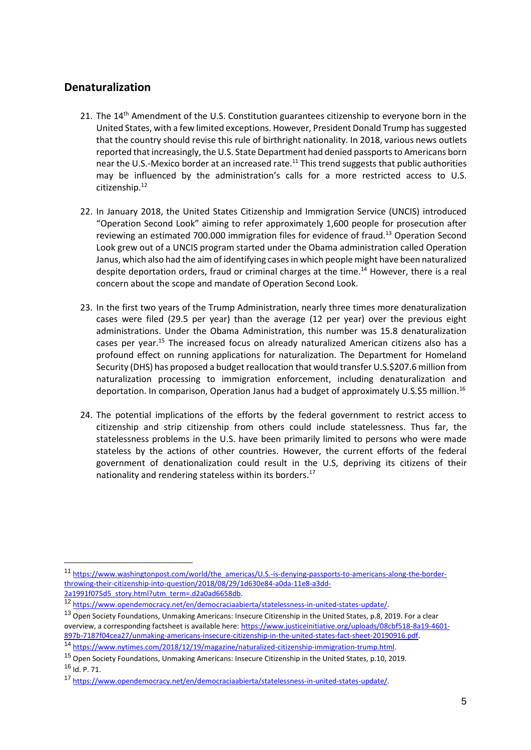#### **Denaturalization**

- 21. The 14<sup>th</sup> Amendment of the U.S. Constitution guarantees citizenship to everyone born in the United States, with a few limited exceptions. However, President Donald Trump has suggested that the country should revise this rule of birthright nationality. In 2018, various news outlets reported that increasingly, the U.S. State Department had denied passports to Americans born near the U.S.-Mexico border at an increased rate.<sup>11</sup> This trend suggests that public authorities may be influenced by the administration's calls for a more restricted access to U.S. citizenship.<sup>12</sup>
- 22. In January 2018, the United States Citizenship and Immigration Service (UNCIS) introduced "Operation Second Look" aiming to refer approximately 1,600 people for prosecution after reviewing an estimated 700.000 immigration files for evidence of fraud.<sup>13</sup> Operation Second Look grew out of a UNCIS program started under the Obama administration called Operation Janus, which also had the aim of identifying cases in which people might have been naturalized despite deportation orders, fraud or criminal charges at the time.<sup>14</sup> However, there is a real concern about the scope and mandate of Operation Second Look.
- 23. In the first two years of the Trump Administration, nearly three times more denaturalization cases were filed (29.5 per year) than the average (12 per year) over the previous eight administrations. Under the Obama Administration, this number was 15.8 denaturalization cases per year.<sup>15</sup> The increased focus on already naturalized American citizens also has a profound effect on running applications for naturalization. The Department for Homeland Security (DHS) has proposed a budget reallocation that would transfer U.S.\$207.6 million from naturalization processing to immigration enforcement, including denaturalization and deportation. In comparison, Operation Janus had a budget of approximately U.S.\$5 million.<sup>16</sup>
- 24. The potential implications of the efforts by the federal government to restrict access to citizenship and strip citizenship from others could include statelessness. Thus far, the statelessness problems in the U.S. have been primarily limited to persons who were made stateless by the actions of other countries. However, the current efforts of the federal government of denationalization could result in the U.S, depriving its citizens of their nationality and rendering stateless within its borders.<sup>17</sup>

<sup>11</sup> [https://www.washingtonpost.com/world/the\\_americas/U.S.-is-denying-passports-to-americans-along-the-border](https://www.washingtonpost.com/world/the_americas/us-is-denying-passports-to-americans-along-the-border-throwing-their-citizenship-into-question/2018/08/29/1d630e84-a0da-11e8-a3dd-2a1991f075d5_story.html?utm_term=.d2a0ad6658db)[throwing-their-citizenship-into-question/2018/08/29/1d630e84-a0da-11e8-a3dd-](https://www.washingtonpost.com/world/the_americas/us-is-denying-passports-to-americans-along-the-border-throwing-their-citizenship-into-question/2018/08/29/1d630e84-a0da-11e8-a3dd-2a1991f075d5_story.html?utm_term=.d2a0ad6658db)[2a1991f075d5\\_story.html?utm\\_term=.d2a0ad6658db.](https://www.washingtonpost.com/world/the_americas/us-is-denying-passports-to-americans-along-the-border-throwing-their-citizenship-into-question/2018/08/29/1d630e84-a0da-11e8-a3dd-2a1991f075d5_story.html?utm_term=.d2a0ad6658db)

<sup>12</sup> [https://www.opendemocracy.net/en/democraciaabierta/statelessness-in-united-states-update/.](https://www.opendemocracy.net/en/democraciaabierta/statelessness-in-united-states-update/) 

<sup>&</sup>lt;sup>13</sup> Open Society Foundations, Unmaking Americans: Insecure Citizenship in the United States, p.8, 2019. For a clear overview, a corresponding factsheet is available here[: https://www.justiceinitiative.org/uploads/08cbf518-8a19-4601-](https://www.justiceinitiative.org/uploads/08cbf518-8a19-4601-897b-7187f04cea27/unmaking-americans-insecure-citizenship-in-the-united-states-fact-sheet-20190916.pdf) [897b-7187f04cea27/unmaking-americans-insecure-citizenship-in-the-united-states-fact-sheet-20190916.pdf.](https://www.justiceinitiative.org/uploads/08cbf518-8a19-4601-897b-7187f04cea27/unmaking-americans-insecure-citizenship-in-the-united-states-fact-sheet-20190916.pdf)

<sup>14</sup> [https://www.nytimes.com/2018/12/19/magazine/naturalized-citizenship-immigration-trump.html.](https://www.nytimes.com/2018/12/19/magazine/naturalized-citizenship-immigration-trump.html) 

<sup>15</sup> Open Society Foundations, Unmaking Americans: Insecure Citizenship in the United States, p.10, 2019.  $16$  Id. P. 71.

<sup>17</sup> [https://www.opendemocracy.net/en/democraciaabierta/statelessness-in-united-states-update/.](https://www.opendemocracy.net/en/democraciaabierta/statelessness-in-united-states-update/)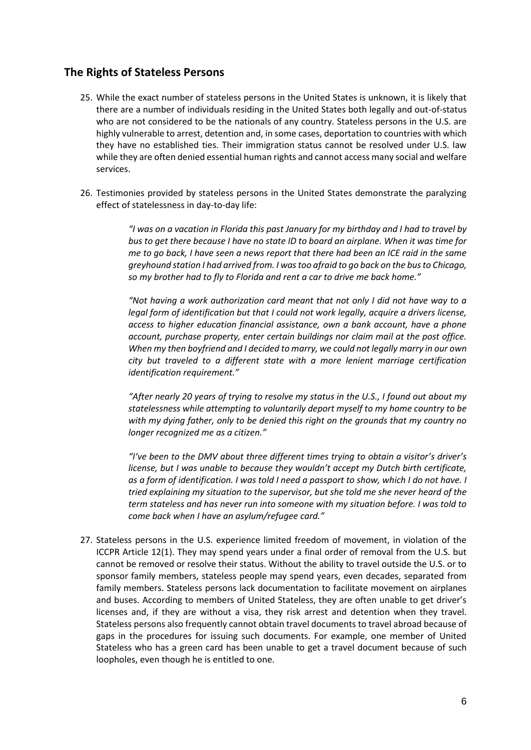#### **The Rights of Stateless Persons**

- 25. While the exact number of stateless persons in the United States is unknown, it is likely that there are a number of individuals residing in the United States both legally and out-of-status who are not considered to be the nationals of any country. Stateless persons in the U.S. are highly vulnerable to arrest, detention and, in some cases, deportation to countries with which they have no established ties. Their immigration status cannot be resolved under U.S. law while they are often denied essential human rights and cannot access many social and welfare services.
- 26. Testimonies provided by stateless persons in the United States demonstrate the paralyzing effect of statelessness in day-to-day life:

*"I was on a vacation in Florida this past January for my birthday and I had to travel by bus to get there because I have no state ID to board an airplane. When it was time for me to go back, I have seen a news report that there had been an ICE raid in the same greyhound station I had arrived from. I was too afraid to go back on the bus to Chicago, so my brother had to fly to Florida and rent a car to drive me back home."*

*"Not having a work authorization card meant that not only I did not have way to a legal form of identification but that I could not work legally, acquire a drivers license, access to higher education financial assistance, own a bank account, have a phone account, purchase property, enter certain buildings nor claim mail at the post office. When my then boyfriend and I decided to marry, we could not legally marry in our own city but traveled to a different state with a more lenient marriage certification identification requirement."*

*"After nearly 20 years of trying to resolve my status in the U.S., I found out about my statelessness while attempting to voluntarily deport myself to my home country to be with my dying father, only to be denied this right on the grounds that my country no longer recognized me as a citizen."*

*"I've been to the DMV about three different times trying to obtain a visitor's driver's license, but I was unable to because they wouldn't accept my Dutch birth certificate, as a form of identification. I was told I need a passport to show, which I do not have. I tried explaining my situation to the supervisor, but she told me she never heard of the term stateless and has never run into someone with my situation before. I was told to come back when I have an asylum/refugee card."*

27. Stateless persons in the U.S. experience limited freedom of movement, in violation of the ICCPR Article 12(1). They may spend years under a final order of removal from the U.S. but cannot be removed or resolve their status. Without the ability to travel outside the U.S. or to sponsor family members, stateless people may spend years, even decades, separated from family members. Stateless persons lack documentation to facilitate movement on airplanes and buses. According to members of United Stateless, they are often unable to get driver's licenses and, if they are without a visa, they risk arrest and detention when they travel. Stateless persons also frequently cannot obtain travel documents to travel abroad because of gaps in the procedures for issuing such documents. For example, one member of United Stateless who has a green card has been unable to get a travel document because of such loopholes, even though he is entitled to one.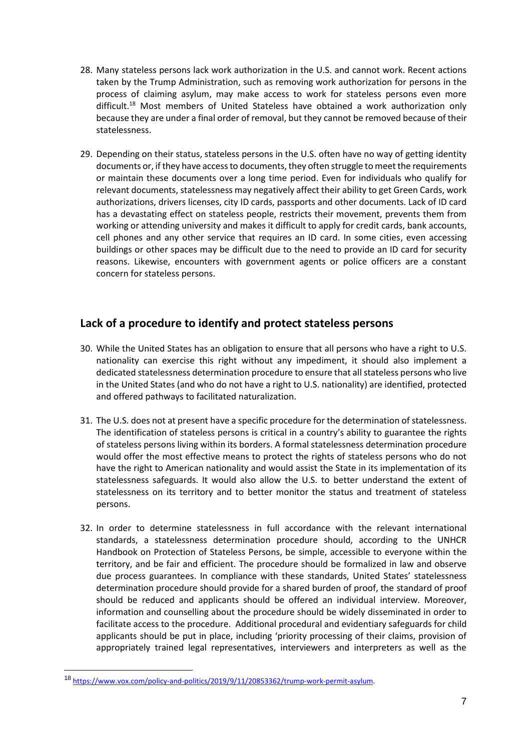- 28. Many stateless persons lack work authorization in the U.S. and cannot work. Recent actions taken by the Trump Administration, such as removing work authorization for persons in the process of claiming asylum, may make access to work for stateless persons even more difficult.<sup>18</sup> Most members of United Stateless have obtained a work authorization only because they are under a final order of removal, but they cannot be removed because of their statelessness.
- 29. Depending on their status, stateless persons in the U.S. often have no way of getting identity documents or, if they have access to documents, they often struggle to meet the requirements or maintain these documents over a long time period. Even for individuals who qualify for relevant documents, statelessness may negatively affect their ability to get Green Cards, work authorizations, drivers licenses, city ID cards, passports and other documents. Lack of ID card has a devastating effect on stateless people, restricts their movement, prevents them from working or attending university and makes it difficult to apply for credit cards, bank accounts, cell phones and any other service that requires an ID card. In some cities, even accessing buildings or other spaces may be difficult due to the need to provide an ID card for security reasons. Likewise, encounters with government agents or police officers are a constant concern for stateless persons.

#### **Lack of a procedure to identify and protect stateless persons**

- 30. While the United States has an obligation to ensure that all persons who have a right to U.S. nationality can exercise this right without any impediment, it should also implement a dedicated statelessness determination procedure to ensure that all stateless persons who live in the United States (and who do not have a right to U.S. nationality) are identified, protected and offered pathways to facilitated naturalization.
- 31. The U.S. does not at present have a specific procedure for the determination of statelessness. The identification of stateless persons is critical in a country's ability to guarantee the rights of stateless persons living within its borders. A formal statelessness determination procedure would offer the most effective means to protect the rights of stateless persons who do not have the right to American nationality and would assist the State in its implementation of its statelessness safeguards. It would also allow the U.S. to better understand the extent of statelessness on its territory and to better monitor the status and treatment of stateless persons.
- 32. In order to determine statelessness in full accordance with the relevant international standards, a statelessness determination procedure should, according to the UNHCR Handbook on Protection of Stateless Persons, be simple, accessible to everyone within the territory, and be fair and efficient. The procedure should be formalized in law and observe due process guarantees. In compliance with these standards, United States' statelessness determination procedure should provide for a shared burden of proof, the standard of proof should be reduced and applicants should be offered an individual interview. Moreover, information and counselling about the procedure should be widely disseminated in order to facilitate access to the procedure. Additional procedural and evidentiary safeguards for child applicants should be put in place, including 'priority processing of their claims, provision of appropriately trained legal representatives, interviewers and interpreters as well as the

<sup>18</sup> [https://www.vox.com/policy-and-politics/2019/9/11/20853362/trump-work-permit-asylum.](https://www.vox.com/policy-and-politics/2019/9/11/20853362/trump-work-permit-asylum)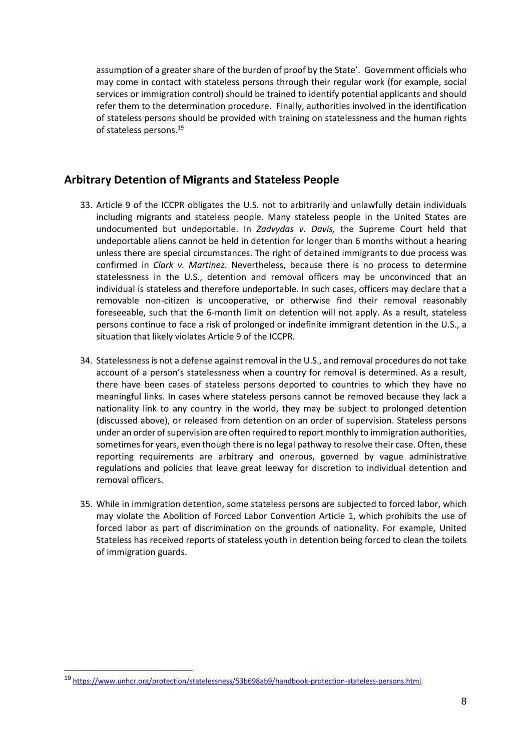assumption of a greater share of the burden of proof by the State'. Government officials who may come in contact with stateless persons through their regular work (for example, social services or immigration control) should be trained to identify potential applicants and should refer them to the determination procedure. Finally, authorities involved in the identification of stateless persons should be provided with training on statelessness and the human rights of stateless persons.<sup>19</sup>

#### **Arbitrary Detention of Migrants and Stateless People**

- 33. Article 9 of the ICCPR obligates the U.S. not to arbitrarily and unlawfully detain individuals including migrants and stateless people. Many stateless people in the United States are undocumented but undeportable. In *Zadvydas v. Davis,* the Supreme Court held that undeportable aliens cannot be held in detention for longer than 6 months without a hearing unless there are special circumstances. The right of detained immigrants to due process was confirmed in *Clark v. Martinez*. Nevertheless, because there is no process to determine statelessness in the U.S., detention and removal officers may be unconvinced that an individual is stateless and therefore undeportable. In such cases, officers may declare that a removable non-citizen is uncooperative, or otherwise find their removal reasonably foreseeable, such that the 6-month limit on detention will not apply. As a result, stateless persons continue to face a risk of prolonged or indefinite immigrant detention in the U.S., a situation that likely violates Article 9 of the ICCPR.
- 34. Statelessness is not a defense against removal in the U.S., and removal procedures do not take account of a person's statelessness when a country for removal is determined. As a result, there have been cases of stateless persons deported to countries to which they have no meaningful links. In cases where stateless persons cannot be removed because they lack a nationality link to any country in the world, they may be subject to prolonged detention (discussed above), or released from detention on an order of supervision. Stateless persons under an order of supervision are often required to report monthly to immigration authorities, sometimes for years, even though there is no legal pathway to resolve their case. Often, these reporting requirements are arbitrary and onerous, governed by vague administrative regulations and policies that leave great leeway for discretion to individual detention and removal officers.
- 35. While in immigration detention, some stateless persons are subjected to forced labor, which may violate the Abolition of Forced Labor Convention Article 1, which prohibits the use of forced labor as part of discrimination on the grounds of nationality. For example, United Stateless has received reports of stateless youth in detention being forced to clean the toilets of immigration guards.

<sup>19</sup> [https://www.unhcr.org/protection/statelessness/53b698ab9/handbook-protection-stateless-persons.html.](https://www.unhcr.org/protection/statelessness/53b698ab9/handbook-protection-stateless-persons.html)